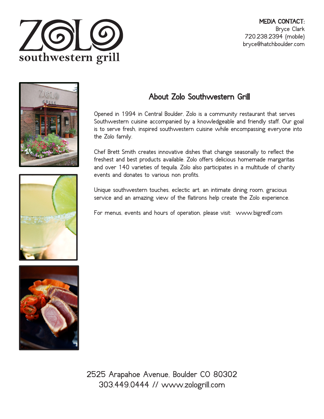



## About Zolo Southwestern Grill

Opened in 1994 in Central Boulder, Zolo is a community restaurant that serves Southwestern cuisine accompanied by a knowledgeable and friendly staff. Our goal is to serve fresh, inspired southwestern cuisine while encompassing everyone into the Zolo family.

Chef Brett Smith creates innovative dishes that change seasonally to reflect the freshest and best products available. Zolo offers delicious homemade margaritas and over 140 varieties of tequila. Zolo also participates in a multitude of charity events and donates to various non profits.

Unique southwestern touches, eclectic art, an intimate dining room, gracious service and an amazing view of the flatirons help create the Zolo experience.

For menus, events and hours of operation, please visit: www.bigredf.com



2525 Arapahoe Avenue, Boulder CO 80302 303.449.0444 // www.zologrill.com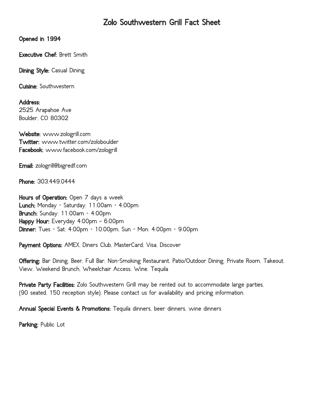## Zolo Southwestern Grill Fact Sheet

Opened in 1994

Executive Chef: Brett Smith

Dining Style: Casual Dining

Cuisine: Southwestern

Address: 2525 Arapahoe Ave Boulder, CO 80302

Website: www.zologrill.com Twitter: www.twitter.com/zoloboulder Facebook: www.facebook.com/zologrill

Email: zologrill@bigredf.com

Phone: 303.449.0444

Hours of Operation: Open 7 days a week Lunch: Monday - Saturday: 11:00am - 4:00pm Brunch: Sunday: 11:00am - 4:00pm Happy Hour: Everyday 4:00pm - 6:00pm Dinner: Tues - Sat: 4:00pm - 10:00pm, Sun - Mon: 4:00pm - 9:00pm

Payment Options: AMEX, Diners Club, MasterCard, Visa, Discover

Offering: Bar Dining, Beer, Full Bar, Non-Smoking Restaurant, Patio/Outdoor Dining, Private Room, Takeout, View, Weekend Brunch, Wheelchair Access, Wine, Tequila

Private Party Facilities: Zolo Southwestern Grill may be rented out to accommodate large parties, (90 seated, 150 reception style). Please contact us for availability and pricing information.

Annual Special Events & Promotions: Tequila dinners, beer dinners, wine dinners

Parking: Public Lot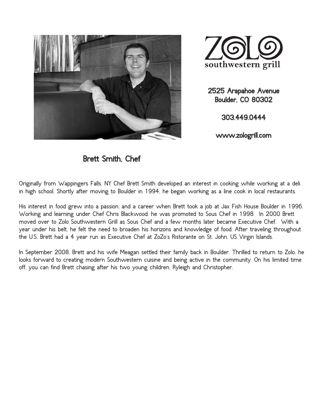



2525 Arapahoe Avenue Boulder, CO 80302

303.449.0444

www.zologrill.com

Brett Smith, Chef

Originally from Wappingers Falls, NY Chef Brett Smith developed an interest in cooking while working at a deli in high school. Shortly after moving to Boulder in 1994, he began working as a line cook in local restaurants.

His interest in food grew into a passion, and a career when Brett took a job at Jax Fish House Boulder in 1996. Working and learning under Chef Chris Blackwood, he was promoted to Sous Chef in 1998. In 2000 Brett moved over to Zolo Southwestern Grill as Sous Chef and a few months later became Executive Chef. With a year under his belt, he felt the need to broaden his horizons and knowledge of food. After traveling throughout the U.S. Brett had a 4 year run as Executive Chef at ZoZo's Ristorante on St. John, US Virgin Islands.

In September 2008, Brett and his wife Meagan settled their family back in Boulder. Thrilled to return to Zolo, he looks forward to creating modern Southwestern cuisine and being active in the community. On his limited time off, you can find Brett chasing after his two young children, Ryleigh and Christopher.